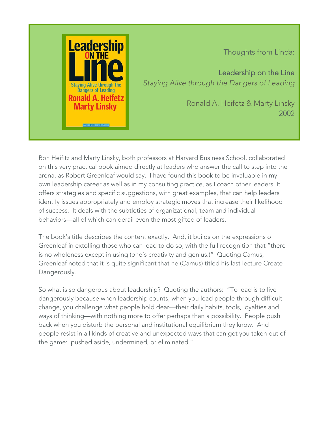

Thoughts from Linda:

Leadership on the Line *Staying Alive through the Dangers of Leading*

> Ronald A. Heifetz & Marty Linsky 2002

Ron Heifitz and Marty Linsky, both professors at Harvard Business School, collaborated on this very practical book aimed directly at leaders who answer the call to step into the arena, as Robert Greenleaf would say. I have found this book to be invaluable in my own leadership career as well as in my consulting practice, as I coach other leaders. It offers strategies and specific suggestions, with great examples, that can help leaders identify issues appropriately and employ strategic moves that increase their likelihood of success. It deals with the subtleties of organizational, team and individual behaviors—all of which can derail even the most gifted of leaders.

The book's title describes the content exactly. And, it builds on the expressions of Greenleaf in extolling those who can lead to do so, with the full recognition that "there is no wholeness except in using (one's creativity and genius.)" Quoting Camus, Greenleaf noted that it is quite significant that he (Camus) titled his last lecture Create Dangerously.

So what is so dangerous about leadership? Quoting the authors: "To lead is to live dangerously because when leadership counts, when you lead people through difficult change, you challenge what people hold dear—their daily habits, tools, loyalties and ways of thinking—with nothing more to offer perhaps than a possibility. People push back when you disturb the personal and institutional equilibrium they know. And people resist in all kinds of creative and unexpected ways that can get you taken out of the game: pushed aside, undermined, or eliminated."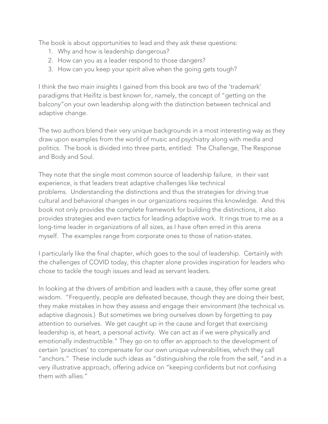The book is about opportunities to lead and they ask these questions:

- 1. Why and how is leadership dangerous?
- 2. How can you as a leader respond to those dangers?
- 3. How can you keep your spirit alive when the going gets tough?

I think the two main insights I gained from this book are two of the 'trademark' paradigms that Heifitz is best known for, namely, the concept of "getting on the balcony"on your own leadership along with the distinction between technical and adaptive change.

The two authors blend their very unique backgrounds in a most interesting way as they draw upon examples from the world of music and psychiatry along with media and politics. The book is divided into three parts, entitled: The Challenge, The Response and Body and Soul.

They note that the single most common source of leadership failure, in their vast experience, is that leaders treat adaptive challenges like technical problems. Understanding the distinctions and thus the strategies for driving true cultural and behavioral changes in our organizations requires this knowledge. And this book not only provides the complete framework for building the distinctions, it also provides strategies and even tactics for leading adaptive work. It rings true to me as a long-time leader in organizations of all sizes, as I have often erred in this arena myself. The examples range from corporate ones to those of nation-states.

I particularly like the final chapter, which goes to the soul of leadership. Certainly with the challenges of COVID today, this chapter alone provides inspiration for leaders who chose to tackle the tough issues and lead as servant leaders.

In looking at the drivers of ambition and leaders with a cause, they offer some great wisdom. "Frequently, people are defeated because, though they are doing their best, they make mistakes in how they assess and engage their environment (the technical vs. adaptive diagnosis.) But sometimes we bring ourselves down by forgetting to pay attention to ourselves. We get caught up in the cause and forget that exercising leadership is, at heart, a personal activity. We can act as if we were physically and emotionally indestructible." They go on to offer an approach to the development of certain 'practices' to compensate for our own unique vulnerabilities, which they call "anchors." These include such ideas as "distinguishing the role from the self, "and in a very illustrative approach, offering advice on "keeping confidents but not confusing them with allies."